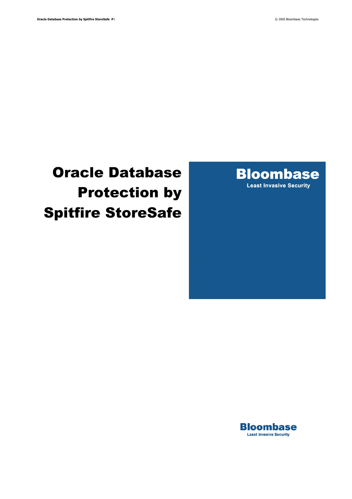# Oracle Database Protection by Spitfire StoreSafe



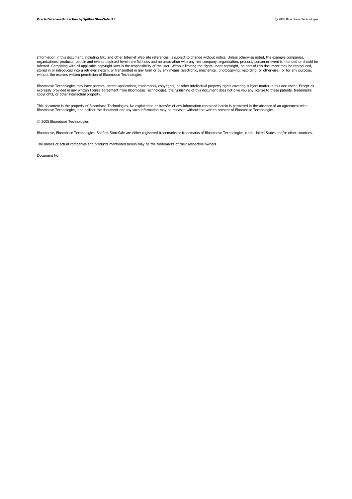Information in this document, including URL and other Internet Web site references, is subject to change without notice. Unless otherwise noted, the example companies, organizations, products, people and events depicted herein are fictitious and no association with any real company, organization, product, person or event is intended or should be inferred. Complying with all applicable copyright laws is the responsibility of the user. Without limiting the rights under copyright, no part of this document may be reproduced,<br>stored in or introduced into a retrieval sy without the express written permission of Bloombase Technologies.

Bloombase Technologies may have patents, patent applications, trademarks, copyrights, or other intellectual property rights covering subject matter in this document. Except as<br>expressly provided in any written license agre copyrights, or other intellectual property.

This document is the property of Bloombase Technologies. No exploitation or transfer of any information contained herein is permitted in the absence of an agreement with<br>Bloombase Technologies, and neither the document nor

© 2005 Bloombase Technologies

Bloombase, Bloombase Technologies, Spitfire, StoreSafe are either registered trademarks or trademarks of Bloombase Technologies in the United States and/or other countries.

The names of actual companies and products mentioned herein may be the trademarks of their respective owners.

Document No.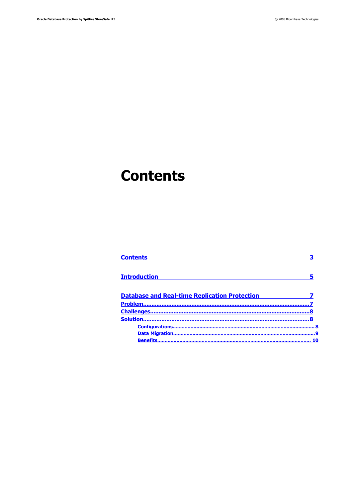## <span id="page-2-0"></span>**Contents**

| Contents                                             |    |
|------------------------------------------------------|----|
| <b>Introduction</b>                                  |    |
| <b>Database and Real-time Replication Protection</b> |    |
|                                                      |    |
|                                                      |    |
|                                                      |    |
|                                                      |    |
|                                                      |    |
| <b>Benefits</b>                                      | 10 |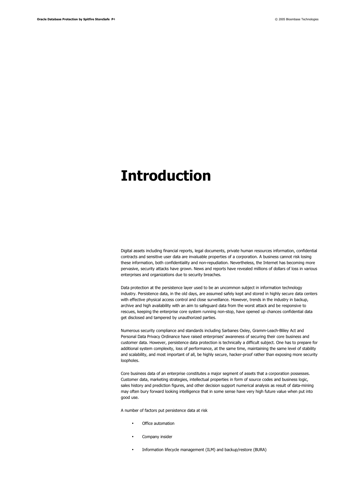## <span id="page-3-0"></span>**Introduction**

Digital assets including financial reports, legal documents, private human resources information, confidential contracts and sensitive user data are invaluable properties of a corporation. A business cannot risk losing these information, both confidentiality and non-repudiation. Nevertheless, the Internet has becoming more pervasive, security attacks have grown. News and reports have revealed millions of dollars of loss in various enterprises and organizations due to security breaches.

Data protection at the persistence layer used to be an uncommon subject in information technology industry. Persistence data, in the old days, are assumed safely kept and stored in highly secure data centers with effective physical access control and close surveillance. However, trends in the industry in backup, archive and high availability with an aim to safeguard data from the worst attack and be responsive to rescues, keeping the enterprise core system running non-stop, have opened up chances confidential data get disclosed and tampered by unauthorized parties.

Numerous security compliance and standards including Sarbanes Oxley, Gramm-Leach-Bliley Act and Personal Data Privacy Ordinance have raised enterprises' awareness of securing their core business and customer data. However, persistence data protection is technically a difficult subject. One has to prepare for additional system complexity, loss of performance, at the same time, maintaining the same level of stability and scalability, and most important of all, be highly secure, hacker-proof rather than exposing more security loopholes.

Core business data of an enterprise constitutes a major segment of assets that a corporation possesses. Customer data, marketing strategies, intellectual properties in form of source codes and business logic, sales history and prediction figures, and other decision support numerical analysis as result of data-mining may often bury forward looking intelligence that in some sense have very high future value when put into good use.

A number of factors put persistence data at risk

- Office automation
- Company insider
- Information lifecycle management (ILM) and backup/restore (BURA)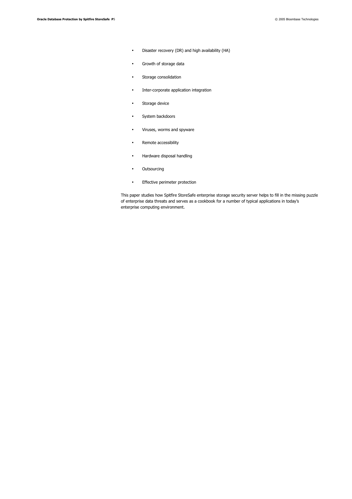- Disaster recovery (DR) and high availability (HA)
- Growth of storage data
- Storage consolidation
- Inter-corporate application integration
- Storage device
- System backdoors
- Viruses, worms and spyware
- Remote accessibility
- Hardware disposal handling
- Outsourcing
- Effective perimeter protection

This paper studies how Spitfire StoreSafe enterprise storage security server helps to fill in the missing puzzle of enterprise data threats and serves as a cookbook for a number of typical applications in today's enterprise computing environment.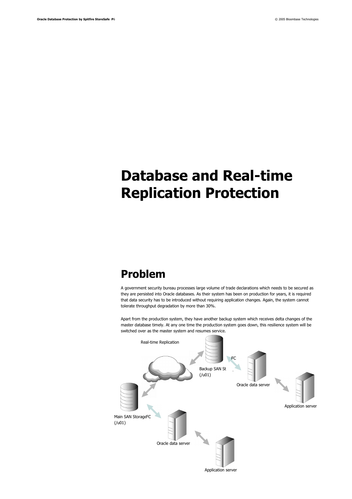# <span id="page-5-1"></span>**Database and Real-time Replication Protection**

### <span id="page-5-0"></span>**Problem**

A government security bureau processes large volume of trade declarations which needs to be secured as they are persisted into Oracle databases. As their system has been on production for years, it is required that data security has to be introduced without requiring application changes. Again, the system cannot tolerate throughput degradation by more than 30%.

Apart from the production system, they have another backup system which receives delta changes of the master database timely. At any one time the production system goes down, this resilience system will be switched over as the master system and resumes service.

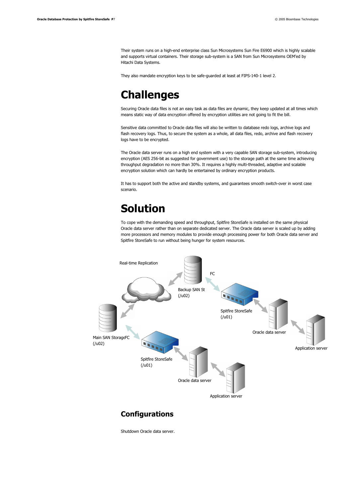Their system runs on a high-end enterprise class Sun Microsystems Sun Fire E6900 which is highly scalable and supports virtual containers. Their storage sub-system is a SAN from Sun Microsystems OEM'ed by Hitachi Data Systems.

They also mandate encryption keys to be safe-guarded at least at FIPS-140-1 level 2.

### <span id="page-6-2"></span>**Challenges**

Securing Oracle data files is not an easy task as data files are dynamic, they keep updated at all times which means static way of data encryption offered by encryption utilities are not going to fit the bill.

Sensitive data committed to Oracle data files will also be written to database redo logs, archive logs and flash recovery logs. Thus, to secure the system as a whole, all data files, redo, archive and flash recovery logs have to be encrypted.

The Oracle data server runs on a high end system with a very capable SAN storage sub-system, introducing encryption (AES 256-bit as suggested for government use) to the storage path at the same time achieving throughput degradation no more than 30%. It requires a highly multi-threaded, adaptive and scalable encryption solution which can hardly be entertained by ordinary encryption products.

It has to support both the active and standby systems, and guarantees smooth switch-over in worst case scenario.

### <span id="page-6-1"></span>**Solution**

To cope with the demanding speed and throughput, Spitfire StoreSafe is installed on the same physical Oracle data server rather than on separate dedicated server. The Oracle data server is scaled up by adding more processors and memory modules to provide enough processing power for both Oracle data server and Spitfire StoreSafe to run without being hunger for system resources.



#### <span id="page-6-0"></span>**Configurations**

Shutdown Oracle data server.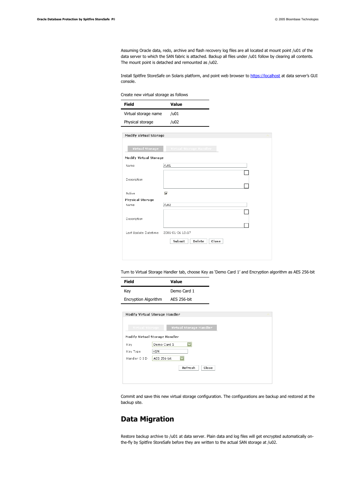Assuming Oracle data, redo, archive and flash recovery log files are all located at mount point /u01 of the data server to which the SAN fabric is attached. Backup all files under /u01 follow by clearing all contents. The mount point is detached and remounted as /u02.

Install Spitfire StoreSafe on Solaris platform, and point web browser to [https://localhost](https://localhost/) at data server's GUI console.

Create new virtual storage as follows

| <b>Field</b>                  | Value                     |  |
|-------------------------------|---------------------------|--|
| Virtual storage name          | / <sub>u01</sub>          |  |
| Physical storage              | /402                      |  |
| <b>Modify Virtual Storage</b> |                           |  |
|                               |                           |  |
| <b>Virtual Storage</b>        | Virtual Storage Handler   |  |
| <b>Modify Virtual Storage</b> |                           |  |
| Name                          | /u01                      |  |
|                               |                           |  |
| Description                   |                           |  |
|                               |                           |  |
| Active                        | $\overline{\mathbf{v}}$   |  |
| <b>Physical Storage</b>       |                           |  |
| Name                          | /u02                      |  |
|                               |                           |  |
| Description                   |                           |  |
|                               |                           |  |
| Last Update Datetime          | 2006-01-06 18:17          |  |
|                               |                           |  |
|                               | Submit<br>Delete<br>Close |  |
|                               |                           |  |
|                               |                           |  |

Turn to Virtual Storage Handler tab, choose Key as 'Demo Card 1' and Encryption algorithm as AES 256-bit

| Field                       | Value       |
|-----------------------------|-------------|
| Key                         | Demo Card 1 |
| <b>Encryption Algorithm</b> | AES 256-bit |

| Virtual Storage Handler<br>Virtual Storage<br><b>Modify Virtual Storage Handler</b><br>Demo Card 1<br>Key<br>Key Type<br><b>HSM</b><br>AES 256-bit<br>Handler O I D |  |
|---------------------------------------------------------------------------------------------------------------------------------------------------------------------|--|
|                                                                                                                                                                     |  |
|                                                                                                                                                                     |  |
|                                                                                                                                                                     |  |
|                                                                                                                                                                     |  |
|                                                                                                                                                                     |  |

Commit and save this new virtual storage configuration. The configurations are backup and restored at the backup site.

#### <span id="page-7-0"></span>**Data Migration**

Restore backup archive to /u01 at data server. Plain data and log files will get encrypted automatically onthe-fly by Spitfire StoreSafe before they are written to the actual SAN storage at /u02.